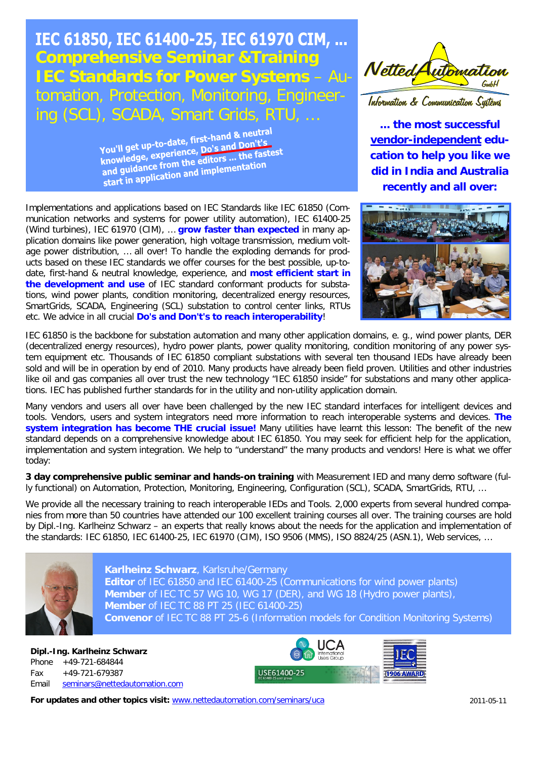IEC 61850, IEC 61400-25, IEC 61970 CIM, ... **Comprehensive Seminar &Training IEC Standards for Power Systems** – Automation, Protection, Monitoring, Engineering (SCL), SCADA, Smart Grids, RTU, …

> You'll get up-to-date, first-hand & neutral<br>You'll get up-to-date, first-hand Bon't's You'll get up-to-date, first-hand & heuther<br>knowledge, experience, Do's and Don't's<br>knowledge, experience, Do's and Don't's You'll get up-to-uate, the po's and Don LS-<br>knowledge, experience, Do's and Don LS-<br>and guidance from the editors ... the fastest<br>and guidance from the editors ... the fastest knowledge, experiment editors ... the ration<br>and guidance from the editors ... the ration<br>start in application and implementation

Implementations and applications based on IEC Standards like IEC 61850 (Communication networks and systems for power utility automation), IEC 61400-25 (Wind turbines), IEC 61970 (CIM), … **grow faster than expected** in many application domains like power generation, high voltage transmission, medium voltage power distribution, … all over! To handle the exploding demands for products based on these IEC standards we offer courses for the best possible, up-todate, first-hand & neutral knowledge, experience, and **most efficient start in the development and use** of IEC standard conformant products for substations, wind power plants, condition monitoring, decentralized energy resources, SmartGrids, SCADA, Engineering (SCL) substation to control center links, RTUs etc. We advice in all crucial **Do's and Don't's to reach interoperability**!



Information & Communication Systems

**... the most successful vendor-independent education to help you like we did in India and Australia recently and all over:**



IEC 61850 is the backbone for substation automation and many other application domains, e. g., wind power plants, DER (decentralized energy resources), hydro power plants, power quality monitoring, condition monitoring of any power system equipment etc. Thousands of IEC 61850 compliant substations with several ten thousand IEDs have already been sold and will be in operation by end of 2010. Many products have already been field proven. Utilities and other industries like oil and gas companies all over trust the new technology "IEC 61850 inside" for substations and many other applications. IEC has published further standards for in the utility and non-utility application domain.

Many vendors and users all over have been challenged by the new IEC standard interfaces for intelligent devices and tools. Vendors, users and system integrators need more information to reach interoperable systems and devices. **The system integration has become THE crucial issue!** Many utilities have learnt this lesson: The benefit of the new standard depends on a comprehensive knowledge about IEC 61850. You may seek for efficient help for the application, implementation and system integration. We help to "understand" the many products and vendors! Here is what we offer today:

**3 day comprehensive public seminar and hands-on training** with Measurement IED and many demo software (fully functional) on Automation, Protection, Monitoring, Engineering, Configuration (SCL), SCADA, SmartGrids, RTU, …

We provide all the necessary training to reach interoperable IEDs and Tools. 2,000 experts from several hundred companies from more than 50 countries have attended our 100 excellent training courses all over. The training courses are hold by Dipl.-Ing. Karlheinz Schwarz – an experts that really knows about the needs for the application and implementation of the standards: IEC 61850, IEC 61400-25, IEC 61970 (CIM), ISO 9506 (MMS), ISO 8824/25 (ASN.1), Web services, …



**Karlheinz Schwarz**, Karlsruhe/Germany **Editor** of IEC 61850 and IEC 61400-25 (Communications for wind power plants) **Member** of IEC TC 57 WG 10, WG 17 (DER), and WG 18 (Hydro power plants), **Member** of IEC TC 88 PT 25 (IEC 61400-25) **Convenor** of IEC TC 88 PT 25-6 (Information models for Condition Monitoring Systems)

**Dipl.-Ing. Karlheinz Schwarz** Phone +49-721-684844 Fax +49-721-679387 Email [seminars@nettedautomation.com](mailto:seminars@nettedautomation.com)



**For updates and other topics visit:** [www.nettedautomation.com/seminars/uca](http://www.nettedautomation.com/seminars/uca) 2011-05-11 2011-05-11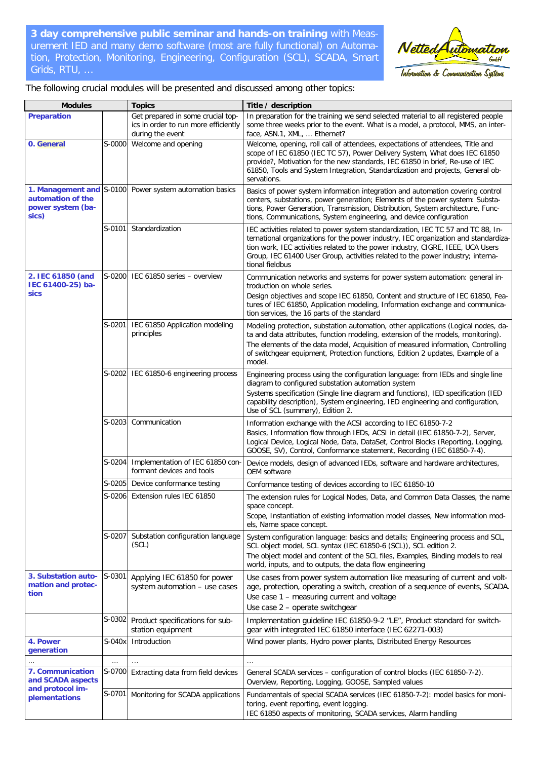**3 day comprehensive public seminar and hands-on training** with Measurement IED and many demo software (most are fully functional) on Automation, Protection, Monitoring, Engineering, Configuration (SCL), SCADA, Smart Grids, RTU, …



The following crucial modules will be presented and discussed among other topics:

| <b>Modules</b><br><b>Preparation</b>                                        |          | <b>Topics</b>                                                                                 | Title / description                                                                                                                                                                                                                                                                                                                                              |
|-----------------------------------------------------------------------------|----------|-----------------------------------------------------------------------------------------------|------------------------------------------------------------------------------------------------------------------------------------------------------------------------------------------------------------------------------------------------------------------------------------------------------------------------------------------------------------------|
|                                                                             |          | Get prepared in some crucial top-<br>ics in order to run more efficiently<br>during the event | In preparation for the training we send selected material to all registered people<br>some three weeks prior to the event. What is a model, a protocol, MMS, an inter-<br>face, ASN.1, XML,  Ethernet?                                                                                                                                                           |
| 0. General                                                                  | S-0000   | Welcome and opening                                                                           | Welcome, opening, roll call of attendees, expectations of attendees, Title and<br>scope of IEC 61850 (IEC TC 57), Power Delivery System, What does IEC 61850<br>provide?, Motivation for the new standards, IEC 61850 in brief, Re-use of IEC<br>61850, Tools and System Integration, Standardization and projects, General ob-<br>servations.                   |
| 1. Management and S-0100<br>automation of the<br>power system (ba-<br>sics) |          | Power system automation basics                                                                | Basics of power system information integration and automation covering control<br>centers, substations, power generation; Elements of the power system: Substa-<br>tions, Power Generation, Transmission, Distribution, System architecture, Func-<br>tions, Communications, System engineering, and device configuration                                        |
|                                                                             | $S-0101$ | Standardization                                                                               | IEC activities related to power system standardization, IEC TC 57 and TC 88, In-<br>ternational organizations for the power industry, IEC organization and standardiza-<br>tion work, IEC activities related to the power industry, CIGRE, IEEE, UCA Users<br>Group, IEC 61400 User Group, activities related to the power industry; interna-<br>tional fieldbus |
| 2. IEC 61850 (and<br>IEC 61400-25) ba-<br><b>sics</b>                       | S-0200   | IEC 61850 series - overview                                                                   | Communication networks and systems for power system automation: general in-<br>troduction on whole series.<br>Design objectives and scope IEC 61850, Content and structure of IEC 61850, Fea-<br>tures of IEC 61850, Application modeling, Information exchange and communica-<br>tion services, the 16 parts of the standard                                    |
|                                                                             | S-0201   | IEC 61850 Application modeling<br>principles                                                  | Modeling protection, substation automation, other applications (Logical nodes, da-<br>ta and data attributes, function modeling, extension of the models, monitoring).<br>The elements of the data model, Acquisition of measured information, Controlling<br>of switchgear equipment, Protection functions, Edition 2 updates, Example of a<br>model.           |
|                                                                             | S-0202   | IEC 61850-6 engineering process                                                               | Engineering process using the configuration language: from IEDs and single line<br>diagram to configured substation automation system<br>Systems specification (Single line diagram and functions), IED specification (IED<br>capability description), System engineering, IED engineering and configuration,<br>Use of SCL (summary), Edition 2.                |
|                                                                             | S-0203   | Communication                                                                                 | Information exchange with the ACSI according to IEC 61850-7-2<br>Basics, Information flow through IEDs, ACSI in detail (IEC 61850-7-2), Server,<br>Logical Device, Logical Node, Data, DataSet, Control Blocks (Reporting, Logging,<br>GOOSE, SV), Control, Conformance statement, Recording (IEC 61850-7-4).                                                    |
|                                                                             | S-0204   | Implementation of IEC 61850 con-<br>formant devices and tools                                 | Device models, design of advanced IEDs, software and hardware architectures,<br>OEM software                                                                                                                                                                                                                                                                     |
|                                                                             | S-0205   | Device conformance testing                                                                    | Conformance testing of devices according to IEC 61850-10                                                                                                                                                                                                                                                                                                         |
|                                                                             | S-02061  | Extension rules IEC 61850                                                                     | The extension rules for Logical Nodes, Data, and Common Data Classes, the name<br>space concept.<br>Scope, Instantiation of existing information model classes, New information mod-<br>els, Name space concept.                                                                                                                                                 |
|                                                                             | S-0207   | Substation configuration language<br>(SCL)                                                    | System configuration language: basics and details; Engineering process and SCL,<br>SCL object model, SCL syntax (IEC 61850-6 (SCL)), SCL edition 2.<br>The object model and content of the SCL files, Examples, Binding models to real<br>world, inputs, and to outputs, the data flow engineering                                                               |
| 3. Substation auto-<br>mation and protec-<br>tion                           | S-0301   | Applying IEC 61850 for power<br>system automation - use cases                                 | Use cases from power system automation like measuring of current and volt-<br>age, protection, operating a switch, creation of a sequence of events, SCADA.<br>Use case 1 - measuring current and voltage<br>Use case 2 - operate switchgear                                                                                                                     |
|                                                                             | S-0302   | Product specifications for sub-<br>station equipment                                          | Implementation guideline IEC 61850-9-2 "LE", Product standard for switch-<br>gear with integrated IEC 61850 interface (IEC 62271-003)                                                                                                                                                                                                                            |
| 4. Power<br>generation                                                      | S-040x   | Introduction                                                                                  | Wind power plants, Hydro power plants, Distributed Energy Resources                                                                                                                                                                                                                                                                                              |
|                                                                             | .        |                                                                                               | $\cdots$                                                                                                                                                                                                                                                                                                                                                         |
| 7. Communication<br>and SCADA aspects<br>and protocol im-<br>plementations  | S-0700   | Extracting data from field devices                                                            | General SCADA services - configuration of control blocks (IEC 61850-7-2).<br>Overview, Reporting, Logging, GOOSE, Sampled values                                                                                                                                                                                                                                 |
|                                                                             |          | S-0701 Monitoring for SCADA applications                                                      | Fundamentals of special SCADA services (IEC 61850-7-2): model basics for moni-<br>toring, event reporting, event logging.<br>IEC 61850 aspects of monitoring, SCADA services, Alarm handling                                                                                                                                                                     |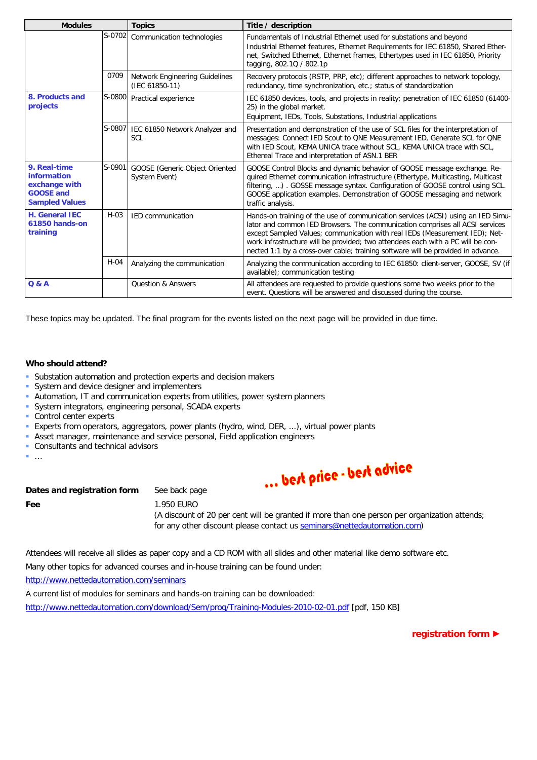| <b>Modules</b>                                                                                   |          | <b>Topics</b>                                    | Title / description                                                                                                                                                                                                                                                                                                                                                                                                    |
|--------------------------------------------------------------------------------------------------|----------|--------------------------------------------------|------------------------------------------------------------------------------------------------------------------------------------------------------------------------------------------------------------------------------------------------------------------------------------------------------------------------------------------------------------------------------------------------------------------------|
|                                                                                                  | $S-0702$ | Communication technologies                       | Fundamentals of Industrial Ethernet used for substations and beyond<br>Industrial Ethernet features, Ethernet Requirements for IEC 61850, Shared Ether-<br>net, Switched Ethernet, Ethernet frames, Ethertypes used in IEC 61850, Priority<br>tagging, 802.1Q / 802.1p                                                                                                                                                 |
|                                                                                                  | 0709     | Network Engineering Guidelines<br>(IEC 61850-11) | Recovery protocols (RSTP, PRP, etc); different approaches to network topology,<br>redundancy, time synchronization, etc.; status of standardization                                                                                                                                                                                                                                                                    |
| 8. Products and<br>projects                                                                      |          | S-0800 Practical experience                      | IEC 61850 devices, tools, and projects in reality; penetration of IEC 61850 (61400-<br>25) in the global market.<br>Equipment, IEDs, Tools, Substations, Industrial applications                                                                                                                                                                                                                                       |
|                                                                                                  | $S-0807$ | IEC 61850 Network Analyzer and<br><b>SCL</b>     | Presentation and demonstration of the use of SCL files for the interpretation of<br>messages: Connect IED Scout to QNE Measurement IED, Generate SCL for QNE<br>with IED Scout, KEMA UNICA trace without SCL, KEMA UNICA trace with SCL,<br>Ethereal Trace and interpretation of ASN.1 BER                                                                                                                             |
| 9. Real-time<br><b>information</b><br>exchange with<br><b>GOOSE and</b><br><b>Sampled Values</b> | S-0901   | GOOSE (Generic Object Oriented<br>System Event)  | GOOSE Control Blocks and dynamic behavior of GOOSE message exchange. Re-<br>quired Ethernet communication infrastructure (Ethertype, Multicasting, Multicast<br>filtering, ) . GOSSE message syntax. Configuration of GOOSE control using SCL.<br>GOOSE application examples. Demonstration of GOOSE messaging and network<br>traffic analysis.                                                                        |
| H. General IEC<br>61850 hands-on<br>training                                                     | $H-03$   | <b>IED</b> communication                         | Hands-on training of the use of communication services (ACSI) using an IED Simu-<br>lator and common IED Browsers. The communication comprises all ACSI services<br>except Sampled Values; communication with real IEDs (Measurement IED); Net-<br>work infrastructure will be provided; two attendees each with a PC will be con-<br>nected 1:1 by a cross-over cable; training software will be provided in advance. |
|                                                                                                  | $H-04$   | Analyzing the communication                      | Analyzing the communication according to IEC 61850: client-server, GOOSE, SV (if<br>available); communication testing                                                                                                                                                                                                                                                                                                  |
| Q & A                                                                                            |          | <b>Question &amp; Answers</b>                    | All attendees are requested to provide questions some two weeks prior to the<br>event. Questions will be answered and discussed during the course.                                                                                                                                                                                                                                                                     |

These topics may be updated. The final program for the events listed on the next page will be provided in due time.

#### **Who should attend?**

- Substation automation and protection experts and decision makers
- System and device designer and implementers
- Automation, IT and communication experts from utilities, power system planners
- System integrators, engineering personal, SCADA experts
- Control center experts
- Experts from operators, aggregators, power plants (hydro, wind, DER, ...), virtual power plants
- Asset manager, maintenance and service personal, Field application engineers
- **Consultants and technical advisors**
- …

### **Dates and registration form** See back page

### **Fee** 1.950 EURO

(A discount of 20 per cent will be granted if more than one person per organization attends; for any other discount please contact us [seminars@nettedautomation.com\)](mailto:seminars@nettedautomation.com)

Attendees will receive all slides as paper copy and a CD ROM with all slides and other material like demo software etc.

Many other topics for advanced courses and in-house training can be found under:

<http://www.nettedautomation.com/seminars>

A current list of modules for seminars and hands-on training can be downloaded:

<http://www.nettedautomation.com/download/Sem/prog/Training-Modules-2010-02-01.pdf> [pdf, 150 KB]

**registration form ►**